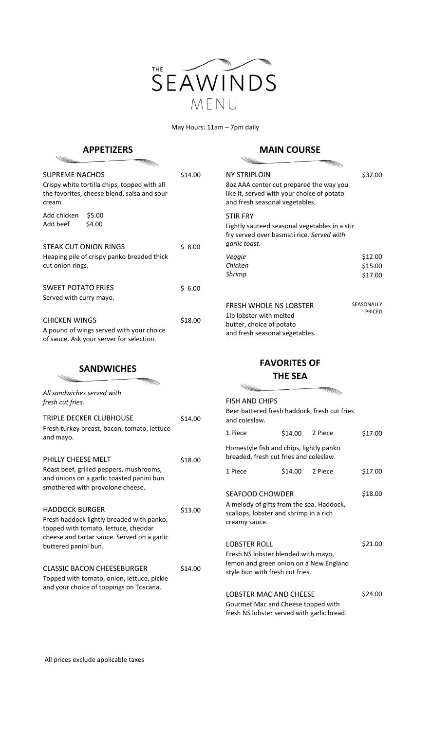

May Hours: 11am – 7pm daily

## **APPETIZERS**

## **MAIN COURSE**

| rliizerj                                                                                                                                                  |         | しししいコレ                                                                                                                                         |                               |
|-----------------------------------------------------------------------------------------------------------------------------------------------------------|---------|------------------------------------------------------------------------------------------------------------------------------------------------|-------------------------------|
| <b>SUPREME NACHOS</b><br>Crispy white tortilla chips, topped with all<br>the favorites, cheese blend, salsa and sour<br>cream.                            | \$14.00 | <b>NY STRIPLOIN</b><br>8oz AAA center cut prepared the way you<br>like it, served with your choice of potato<br>and fresh seasonal vegetables. | \$32.00                       |
| \$5.00<br>Add chicken<br>Add beef<br>\$4.00<br>STEAK CUT ONION RINGS                                                                                      | \$8.00  | <b>STIR FRY</b><br>Lightly sauteed seasonal vegetables in a stir<br>fry served over basmati rice. Served with<br>garlic toast.                 |                               |
| Heaping pile of crispy panko breaded thick<br>cut onion rings.                                                                                            |         | Veggie<br>Chicken<br>Shrimp                                                                                                                    | \$12.00<br>\$15.00<br>\$17.00 |
| <b>SWEET POTATO FRIES</b>                                                                                                                                 | \$6.00  |                                                                                                                                                |                               |
| Served with curry mayo.<br><b>CHICKEN WINGS</b><br>A pound of wings served with your choice<br>of sauce. Ask your server for selection.                   | \$18.00 | <b>FRESH WHOLE NS LOBSTER</b><br>1lb lobster with melted<br>butter, choice of potato<br>and fresh seasonal vegetables.                         | SEASONALLY<br><b>PRICED</b>   |
|                                                                                                                                                           |         |                                                                                                                                                |                               |
| <b>SANDWICHES</b>                                                                                                                                         |         | <b>FAVORITES OF</b><br><b>THE SEA</b>                                                                                                          |                               |
| All sandwiches served with<br>fresh cut fries.                                                                                                            |         | <b>FISH AND CHIPS</b>                                                                                                                          |                               |
| TRIPLE DECKER CLUBHOUSE                                                                                                                                   | \$14.00 | Beer battered fresh haddock, fresh cut fries<br>and coleslaw.                                                                                  |                               |
| Fresh turkey breast, bacon, tomato, lettuce                                                                                                               |         | \$14.00<br>1 Piece<br>2 Piece                                                                                                                  | \$17.00                       |
| and mayo.                                                                                                                                                 |         | Homestyle fish and chips, lightly panko<br>breaded, fresh cut fries and coleslaw.                                                              |                               |
| PHILLY CHEESE MELT<br>Roast beef, grilled peppers, mushrooms,<br>and onions on a garlic toasted panini bun                                                | \$18.00 | \$14.00<br>1 Piece<br>2 Piece                                                                                                                  | \$17.00                       |
| smothered with provolone cheese.                                                                                                                          |         | <b>SEAFOOD CHOWDER</b>                                                                                                                         | \$18.00                       |
| <b>HADDOCK BURGER</b><br>Fresh haddock lightly breaded with panko,<br>topped with tomato, lettuce, cheddar<br>cheese and tartar sauce. Served on a garlic | \$13.00 | A melody of gifts from the sea. Haddock,<br>scallops, lobster and shrimp in a rich<br>creamy sauce.                                            |                               |

| <b>CLASSIC BACON CHEESEBURGER</b>          | \$14.00 |
|--------------------------------------------|---------|
| Topped with tomato, onion, lettuce, pickle |         |
| and your choice of toppings on Toscana.    |         |

| <b>FISH AND CHIPS</b>                                                                                                                   |                 |  |         |
|-----------------------------------------------------------------------------------------------------------------------------------------|-----------------|--|---------|
| Beer battered fresh haddock, fresh cut fries<br>and coleslaw.                                                                           |                 |  |         |
| 1 Piece                                                                                                                                 | \$14.00 2 Piece |  | \$17.00 |
| Homestyle fish and chips, lightly panko<br>breaded, fresh cut fries and coleslaw.                                                       |                 |  |         |
| 1 Piece                                                                                                                                 | \$14.00 2 Piece |  | \$17.00 |
| <b>SEAFOOD CHOWDER</b><br>A melody of gifts from the sea. Haddock,<br>scallops, lobster and shrimp in a rich<br>creamy sauce.           |                 |  | \$18.00 |
| <b>LOBSTER ROLL</b><br>Fresh NS lobster blended with mayo,<br>lemon and green onion on a New England<br>style bun with fresh cut fries. |                 |  | \$21.00 |
| <b>LOBSTER MAC AND CHEESE</b><br>Gourmet Mac and Cheese topped with<br>fresh NS lobster served with garlic bread.                       |                 |  | \$24.00 |